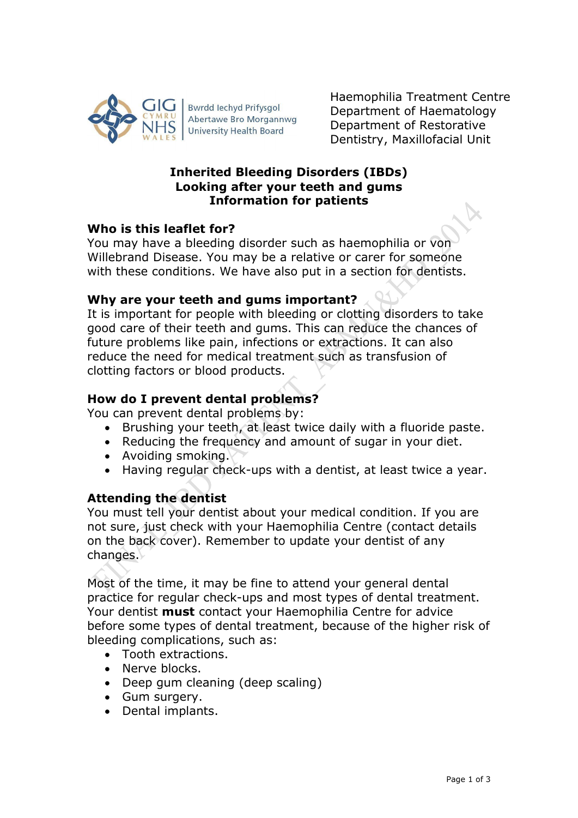

**Bwrdd lechyd Prifysgol** Abertawe Bro Morgannwg **University Health Board** 

Haemophilia Treatment Centre Department of Haematology Department of Restorative Dentistry, Maxillofacial Unit

## **Inherited Bleeding Disorders (IBDs) Looking after your teeth and gums Information for patients**

# **Who is this leaflet for?**

You may have a bleeding disorder such as haemophilia or von Willebrand Disease. You may be a relative or carer for someone with these conditions. We have also put in a section for dentists.

# **Why are your teeth and gums important?**

It is important for people with bleeding or clotting disorders to take good care of their teeth and gums. This can reduce the chances of future problems like pain, infections or extractions. It can also reduce the need for medical treatment such as transfusion of clotting factors or blood products.

# **How do I prevent dental problems?**

You can prevent dental problems by:

- Brushing your teeth, at least twice daily with a fluoride paste.
- Reducing the frequency and amount of sugar in your diet.
- Avoiding smoking.
- Having regular check-ups with a dentist, at least twice a year.

# **Attending the dentist**

You must tell your dentist about your medical condition. If you are not sure, just check with your Haemophilia Centre (contact details on the back cover). Remember to update your dentist of any changes.

Most of the time, it may be fine to attend your general dental practice for regular check-ups and most types of dental treatment. Your dentist **must** contact your Haemophilia Centre for advice before some types of dental treatment, because of the higher risk of bleeding complications, such as:

- Tooth extractions.
- Nerve blocks.
- Deep gum cleaning (deep scaling)
- Gum surgery.
- Dental implants.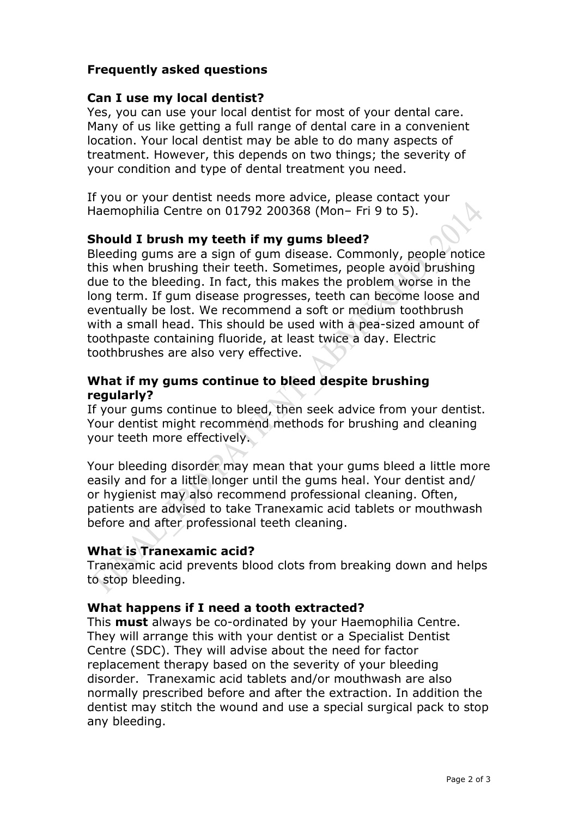### **Frequently asked questions**

### **Can I use my local dentist?**

Yes, you can use your local dentist for most of your dental care. Many of us like getting a full range of dental care in a convenient location. Your local dentist may be able to do many aspects of treatment. However, this depends on two things; the severity of your condition and type of dental treatment you need.

If you or your dentist needs more advice, please contact your Haemophilia Centre on 01792 200368 (Mon– Fri 9 to 5).

### **Should I brush my teeth if my gums bleed?**

Bleeding gums are a sign of gum disease. Commonly, people notice this when brushing their teeth. Sometimes, people avoid brushing due to the bleeding. In fact, this makes the problem worse in the long term. If gum disease progresses, teeth can become loose and eventually be lost. We recommend a soft or medium toothbrush with a small head. This should be used with a pea-sized amount of toothpaste containing fluoride, at least twice a day. Electric toothbrushes are also very effective.

### **What if my gums continue to bleed despite brushing regularly?**

If your gums continue to bleed, then seek advice from your dentist. Your dentist might recommend methods for brushing and cleaning your teeth more effectively.

Your bleeding disorder may mean that your gums bleed a little more easily and for a little longer until the gums heal. Your dentist and/ or hygienist may also recommend professional cleaning. Often, patients are advised to take Tranexamic acid tablets or mouthwash before and after professional teeth cleaning.

### **What is Tranexamic acid?**

Tranexamic acid prevents blood clots from breaking down and helps to stop bleeding.

### **What happens if I need a tooth extracted?**

This **must** always be co-ordinated by your Haemophilia Centre. They will arrange this with your dentist or a Specialist Dentist Centre (SDC). They will advise about the need for factor replacement therapy based on the severity of your bleeding disorder. Tranexamic acid tablets and/or mouthwash are also normally prescribed before and after the extraction. In addition the dentist may stitch the wound and use a special surgical pack to stop any bleeding.